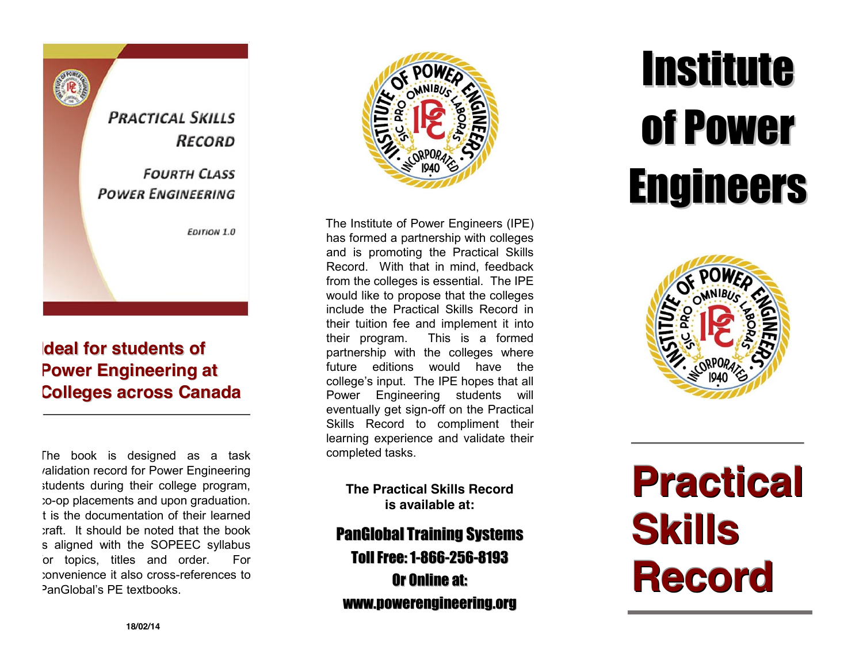**PRACTICAL SKILLS RECORD FOURTH CLASS POWER ENGINEERING EDITION 1.0** 

## **ldeal for students of Power Engineering at Colleges across Canada**

The book is designed as a task validation record for Power Engineering students during their college program, to-op placements and upon graduation. It is the documentation of their learned craft. It should be noted that the book s aligned with the SOPEEC syllabus or topics, titles and order. For convenience it also cross -references to PanGlobal's PE textbooks.



The Institute of Power Engineers (IPE) has formed a partnership with colleges and is promoting the Practical Skills Record. With that in mind, feedback from the colleges is essential. The IPE would like to propose that the colleges include the Practical Skills Record in their tuition fee and implement it into their program. This is a formed partnership with the colleges where future editions would have the college's input. The IPE hopes that all Power Engineering students will eventually get sign -off on the Practical Skills Record to compliment their learning experience and validate their completed tasks.

**The Practical Skills Record is available at:**

PanGlobal Training Systems Toll Free: 1-866-256-8193 Or Online at: www.powerengineering.org .

# **Institute** of Power **Engineers**



# **Practical S k i l l s Record**